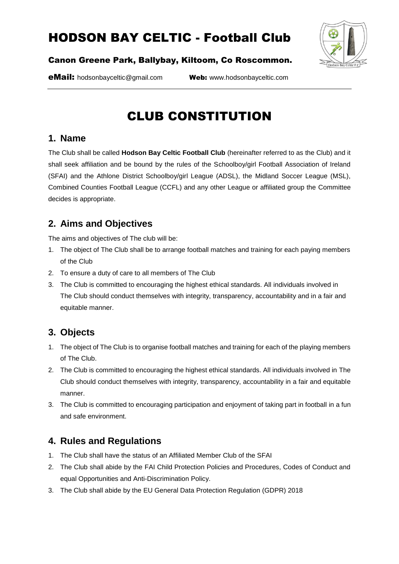

#### Canon Greene Park, Ballybay, Kiltoom, Co Roscommon.

eMail: hodsonbayceltic@gmail.com Web: www.hodsonbayceltic.com

# CLUB CONSTITUTION

#### **1. Name**

The Club shall be called **Hodson Bay Celtic Football Club** (hereinafter referred to as the Club) and it shall seek affiliation and be bound by the rules of the Schoolboy/girl Football Association of Ireland (SFAI) and the Athlone District Schoolboy/girl League (ADSL), the Midland Soccer League (MSL), Combined Counties Football League (CCFL) and any other League or affiliated group the Committee decides is appropriate.

## **2. Aims and Objectives**

The aims and objectives of The club will be:

- 1. The object of The Club shall be to arrange football matches and training for each paying members of the Club
- 2. To ensure a duty of care to all members of The Club
- 3. The Club is committed to encouraging the highest ethical standards. All individuals involved in The Club should conduct themselves with integrity, transparency, accountability and in a fair and equitable manner.

## **3. Objects**

- 1. The object of The Club is to organise football matches and training for each of the playing members of The Club.
- 2. The Club is committed to encouraging the highest ethical standards. All individuals involved in The Club should conduct themselves with integrity, transparency, accountability in a fair and equitable manner.
- 3. The Club is committed to encouraging participation and enjoyment of taking part in football in a fun and safe environment.

## **4. Rules and Regulations**

- 1. The Club shall have the status of an Affiliated Member Club of the SFAI
- 2. The Club shall abide by the FAI Child Protection Policies and Procedures, Codes of Conduct and equal Opportunities and Anti-Discrimination Policy.
- 3. The Club shall abide by the EU General Data Protection Regulation (GDPR) 2018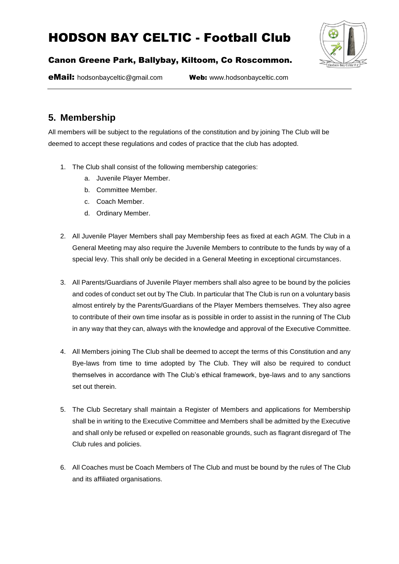

#### Canon Greene Park, Ballybay, Kiltoom, Co Roscommon.

eMail: hodsonbayceltic@gmail.com Web: www.hodsonbayceltic.com

## **5. Membership**

All members will be subject to the regulations of the constitution and by joining The Club will be deemed to accept these regulations and codes of practice that the club has adopted.

- 1. The Club shall consist of the following membership categories:
	- a. Juvenile Player Member.
	- b. Committee Member.
	- c. Coach Member.
	- d. Ordinary Member.
- 2. All Juvenile Player Members shall pay Membership fees as fixed at each AGM. The Club in a General Meeting may also require the Juvenile Members to contribute to the funds by way of a special levy. This shall only be decided in a General Meeting in exceptional circumstances.
- 3. All Parents/Guardians of Juvenile Player members shall also agree to be bound by the policies and codes of conduct set out by The Club. In particular that The Club is run on a voluntary basis almost entirely by the Parents/Guardians of the Player Members themselves. They also agree to contribute of their own time insofar as is possible in order to assist in the running of The Club in any way that they can, always with the knowledge and approval of the Executive Committee.
- 4. All Members joining The Club shall be deemed to accept the terms of this Constitution and any Bye-laws from time to time adopted by The Club. They will also be required to conduct themselves in accordance with The Club's ethical framework, bye-laws and to any sanctions set out therein.
- 5. The Club Secretary shall maintain a Register of Members and applications for Membership shall be in writing to the Executive Committee and Members shall be admitted by the Executive and shall only be refused or expelled on reasonable grounds, such as flagrant disregard of The Club rules and policies.
- 6. All Coaches must be Coach Members of The Club and must be bound by the rules of The Club and its affiliated organisations.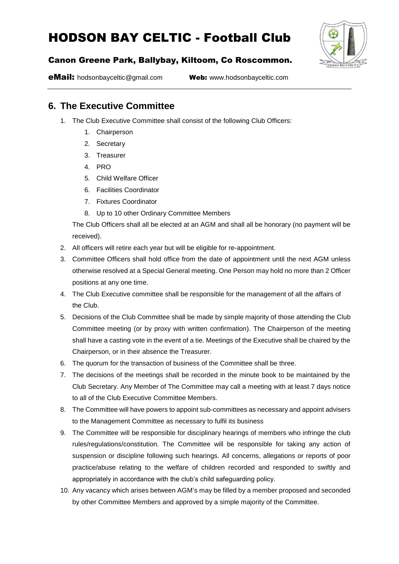

#### Canon Greene Park, Ballybay, Kiltoom, Co Roscommon.

eMail: hodsonbayceltic@gmail.com Web: www.hodsonbayceltic.com

### **6. The Executive Committee**

- 1. The Club Executive Committee shall consist of the following Club Officers:
	- 1. Chairperson
	- 2. Secretary
	- 3. Treasurer
	- 4. PRO
	- 5. Child Welfare Officer
	- 6. Facilities Coordinator
	- 7. Fixtures Coordinator
	- 8. Up to 10 other Ordinary Committee Members

The Club Officers shall all be elected at an AGM and shall all be honorary (no payment will be received).

- 2. All officers will retire each year but will be eligible for re-appointment.
- 3. Committee Officers shall hold office from the date of appointment until the next AGM unless otherwise resolved at a Special General meeting. One Person may hold no more than 2 Officer positions at any one time.
- 4. The Club Executive committee shall be responsible for the management of all the affairs of the Club.
- 5. Decisions of the Club Committee shall be made by simple majority of those attending the Club Committee meeting (or by proxy with written confirmation). The Chairperson of the meeting shall have a casting vote in the event of a tie. Meetings of the Executive shall be chaired by the Chairperson, or in their absence the Treasurer.
- 6. The quorum for the transaction of business of the Committee shall be three.
- 7. The decisions of the meetings shall be recorded in the minute book to be maintained by the Club Secretary. Any Member of The Committee may call a meeting with at least 7 days notice to all of the Club Executive Committee Members.
- 8. The Committee will have powers to appoint sub-committees as necessary and appoint advisers to the Management Committee as necessary to fulfil its business
- 9. The Committee will be responsible for disciplinary hearings of members who infringe the club rules/regulations/constitution. The Committee will be responsible for taking any action of suspension or discipline following such hearings. All concerns, allegations or reports of poor practice/abuse relating to the welfare of children recorded and responded to swiftly and appropriately in accordance with the club's child safeguarding policy.
- 10. Any vacancy which arises between AGM's may be filled by a member proposed and seconded by other Committee Members and approved by a simple majority of the Committee.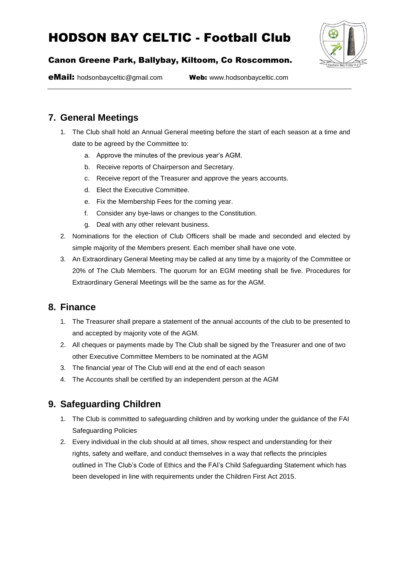

#### Canon Greene Park, Ballybay, Kiltoom, Co Roscommon.

eMail: hodsonbayceltic@gmail.com Web: www.hodsonbayceltic.com

### **7. General Meetings**

- 1. The Club shall hold an Annual General meeting before the start of each season at a time and date to be agreed by the Committee to:
	- a. Approve the minutes of the previous year's AGM.
	- b. Receive reports of Chairperson and Secretary.
	- c. Receive report of the Treasurer and approve the years accounts.
	- d. Elect the Executive Committee.
	- e. Fix the Membership Fees for the coming year.
	- f. Consider any bye-laws or changes to the Constitution.
	- g. Deal with any other relevant business.
- 2. Nominations for the election of Club Officers shall be made and seconded and elected by simple majority of the Members present. Each member shall have one vote.
- 3. An Extraordinary General Meeting may be called at any time by a majority of the Committee or 20% of The Club Members. The quorum for an EGM meeting shall be five. Procedures for Extraordinary General Meetings will be the same as for the AGM.

### **8. Finance**

- 1. The Treasurer shall prepare a statement of the annual accounts of the club to be presented to and accepted by majority vote of the AGM.
- 2. All cheques or payments made by The Club shall be signed by the Treasurer and one of two other Executive Committee Members to be nominated at the AGM
- 3. The financial year of The Club will end at the end of each season
- 4. The Accounts shall be certified by an independent person at the AGM

## **9. Safeguarding Children**

- 1. The Club is committed to safeguarding children and by working under the guidance of the FAI Safeguarding Policies
- 2. Every individual in the club should at all times, show respect and understanding for their rights, safety and welfare, and conduct themselves in a way that reflects the principles outlined in The Club's Code of Ethics and the FAI's Child Safeguarding Statement which has been developed in line with requirements under the Children First Act 2015.